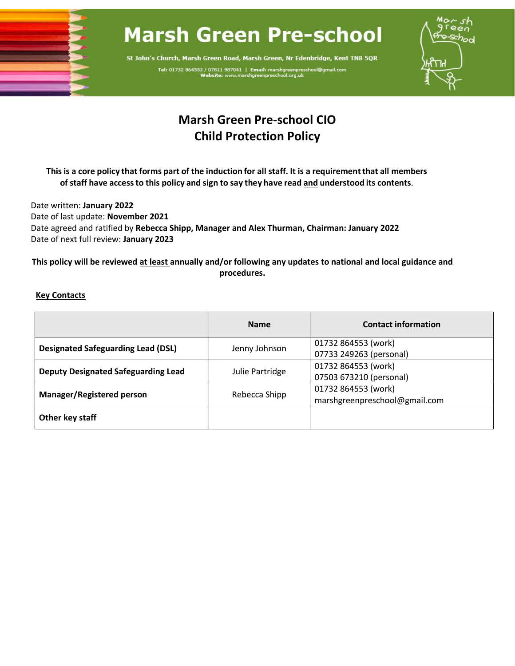

# **Marsh Green Pre-school**

St John's Church, Marsh Green Road, Marsh Green, Nr Edenbridge, Kent TN8 5QR Tel: 01732 864553 / 07811 987041 | Email: marshgreenpresch<br>Website: www.marshgreenpreschool.org.uk



# **Marsh Green Pre-school CIO Child Protection Policy**

This is a core policy that forms part of the induction for all staff. It is a requirement that all members **of staff have accessto this policy and sign to say they have read and understood its contents**.

Date written: **January 2022** Date of last update: **November 2021** Date agreed and ratified by **Rebecca Shipp, Manager and Alex Thurman, Chairman: January 2022** Date of next full review: **January 2023**

**This policy will be reviewed at least annually and/or following any updates to national and local guidance and procedures.** 

# **Key Contacts**

|                                            | <b>Name</b>     | <b>Contact information</b>    |
|--------------------------------------------|-----------------|-------------------------------|
| <b>Designated Safeguarding Lead (DSL)</b>  | Jenny Johnson   | 01732 864553 (work)           |
|                                            |                 | 07733 249263 (personal)       |
| <b>Deputy Designated Safeguarding Lead</b> | Julie Partridge | 01732 864553 (work)           |
|                                            |                 | 07503 673210 (personal)       |
| Manager/Registered person                  | Rebecca Shipp   | 01732 864553 (work)           |
|                                            |                 | marshgreenpreschool@gmail.com |
| Other key staff                            |                 |                               |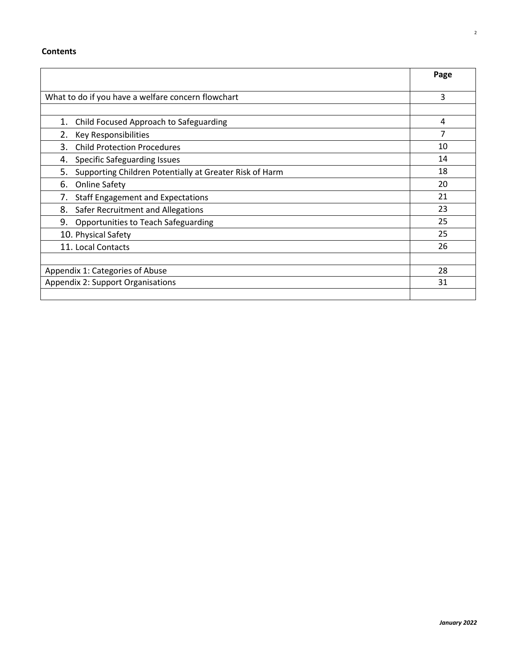## **Contents**

|                                                               | Page |
|---------------------------------------------------------------|------|
|                                                               |      |
| What to do if you have a welfare concern flowchart            | 3    |
|                                                               |      |
| Child Focused Approach to Safeguarding<br>1.                  | 4    |
| 2.<br>Key Responsibilities                                    |      |
| 3.<br><b>Child Protection Procedures</b>                      | 10   |
| <b>Specific Safeguarding Issues</b><br>4.                     | 14   |
| Supporting Children Potentially at Greater Risk of Harm<br>5. | 18   |
| 6.<br><b>Online Safety</b>                                    | 20   |
| 7.<br><b>Staff Engagement and Expectations</b>                | 21   |
| 8.<br>Safer Recruitment and Allegations                       | 23   |
| 9.<br>Opportunities to Teach Safeguarding                     | 25   |
| 10. Physical Safety                                           | 25   |
| 11. Local Contacts                                            | 26   |
|                                                               |      |
| Appendix 1: Categories of Abuse                               | 28   |
| Appendix 2: Support Organisations                             | 31   |
|                                                               |      |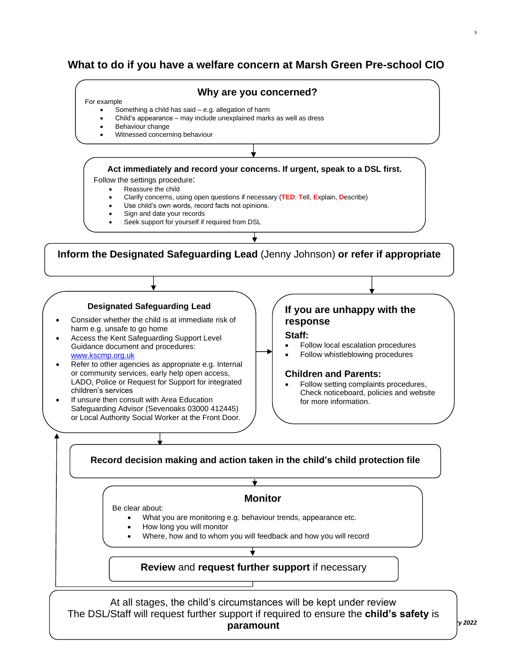# **What to do if you have a welfare concern at Marsh Green Pre-school CIO**



**paramount**

*January 2022*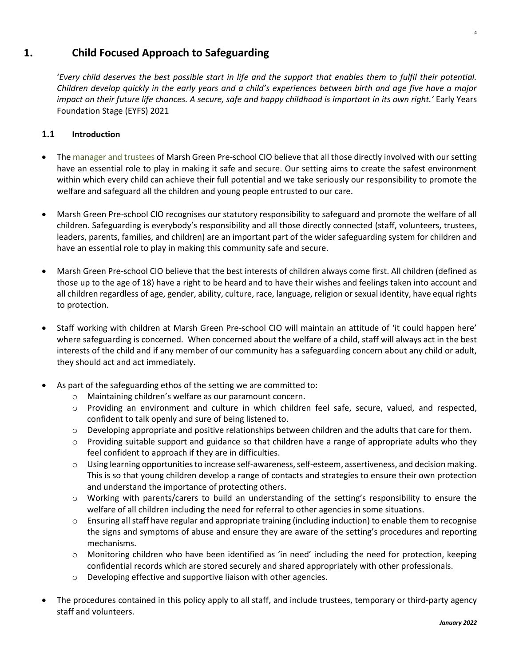# **1. Child Focused Approach to Safeguarding**

'*Every child deserves the best possible start in life and the support that enables them to fulfil their potential. Children develop quickly in the early years and a child's experiences between birth and age five have a major impact on their future life chances. A secure, safe and happy childhood is important in its own right.'* Early Years Foundation Stage (EYFS) 2021

# **1.1 Introduction**

- The manager and trustees of Marsh Green Pre-school CIO believe that all those directly involved with our setting have an essential role to play in making it safe and secure. Our setting aims to create the safest environment within which every child can achieve their full potential and we take seriously our responsibility to promote the welfare and safeguard all the children and young people entrusted to our care.
- Marsh Green Pre-school CIO recognises our statutory responsibility to safeguard and promote the welfare of all children. Safeguarding is everybody's responsibility and all those directly connected (staff, volunteers, trustees, leaders, parents, families, and children) are an important part of the wider safeguarding system for children and have an essential role to play in making this community safe and secure.
- Marsh Green Pre-school CIO believe that the best interests of children always come first. All children (defined as those up to the age of 18) have a right to be heard and to have their wishes and feelings taken into account and all children regardless of age, gender, ability, culture, race, language, religion or sexual identity, have equal rights to protection.
- Staff working with children at Marsh Green Pre-school CIO will maintain an attitude of 'it could happen here' where safeguarding is concerned. When concerned about the welfare of a child, staff will always act in the best interests of the child and if any member of our community has a safeguarding concern about any child or adult, they should act and act immediately.
- As part of the safeguarding ethos of the setting we are committed to:
	- o Maintaining children's welfare as our paramount concern.
	- o Providing an environment and culture in which children feel safe, secure, valued, and respected, confident to talk openly and sure of being listened to.
	- $\circ$  Developing appropriate and positive relationships between children and the adults that care for them.
	- $\circ$  Providing suitable support and guidance so that children have a range of appropriate adults who they feel confident to approach if they are in difficulties.
	- o Using learning opportunities to increase self-awareness, self-esteem, assertiveness, and decision making. This is so that young children develop a range of contacts and strategies to ensure their own protection and understand the importance of protecting others.
	- o Working with parents/carers to build an understanding of the setting's responsibility to ensure the welfare of all children including the need for referral to other agencies in some situations.
	- $\circ$  Ensuring all staff have regular and appropriate training (including induction) to enable them to recognise the signs and symptoms of abuse and ensure they are aware of the setting's procedures and reporting mechanisms.
	- o Monitoring children who have been identified as 'in need' including the need for protection, keeping confidential records which are stored securely and shared appropriately with other professionals.
	- o Developing effective and supportive liaison with other agencies.
- The procedures contained in this policy apply to all staff, and include trustees, temporary or third-party agency staff and volunteers.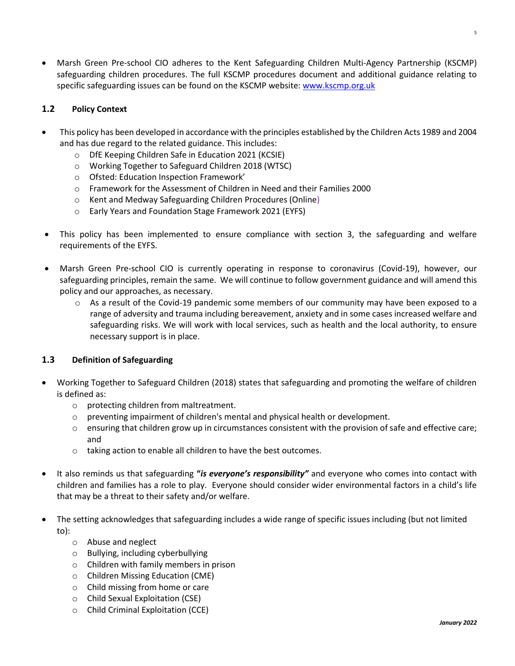• Marsh Green Pre-school CIO adheres to the Kent Safeguarding Children Multi-Agency Partnership (KSCMP) safeguarding children procedures. The full KSCMP procedures document and additional guidance relating to specific safeguarding issues can be found on the KSCMP website: [www.kscmp.org.uk](http://www.kscmp.org.uk/) 

# **1.2 Policy Context**

- This policy has been developed in accordance with the principles established by the Children Acts 1989 and 2004 and has due regard to the related guidance. This includes:
	- o DfE Keeping Children Safe in Education 2021 (KCSIE)
	- o Working Together to Safeguard Children 2018 (WTSC)
	- o Ofsted: Education Inspection Framework'
	- o Framework for the Assessment of Children in Need and their Families 2000
	- o Kent and Medway Safeguarding Children Procedures (Online)
	- o Early Years and Foundation Stage Framework 2021 (EYFS)
- This policy has been implemented to ensure compliance with section 3, the safeguarding and welfare requirements of the EYFS.
- Marsh Green Pre-school CIO is currently operating in response to coronavirus (Covid-19), however, our safeguarding principles, remain the same. We will continue to follow government guidance and will amend this policy and our approaches, as necessary.
	- $\circ$  As a result of the Covid-19 pandemic some members of our community may have been exposed to a range of adversity and trauma including bereavement, anxiety and in some cases increased welfare and safeguarding risks. We will work with local services, such as health and the local authority, to ensure necessary support is in place.

#### **1.3 Definition of Safeguarding**

- Working Together to Safeguard Children (2018) states that safeguarding and promoting the welfare of children is defined as:
	- o protecting children from maltreatment.
	- $\circ$  preventing impairment of children's mental and physical health or development.
	- $\circ$  ensuring that children grow up in circumstances consistent with the provision of safe and effective care; and
	- o taking action to enable all children to have the best outcomes.
- It also reminds us that safeguarding **"***is everyone's responsibility"* and everyone who comes into contact with children and families has a role to play. Everyone should consider wider environmental factors in a child's life that may be a threat to their safety and/or welfare.
- The setting acknowledges that safeguarding includes a wide range of specific issues including (but not limited to):
	- o Abuse and neglect
	- o Bullying, including cyberbullying
	- o Children with family members in prison
	- o Children Missing Education (CME)
	- o Child missing from home or care
	- o Child Sexual Exploitation (CSE)
	- o Child Criminal Exploitation (CCE)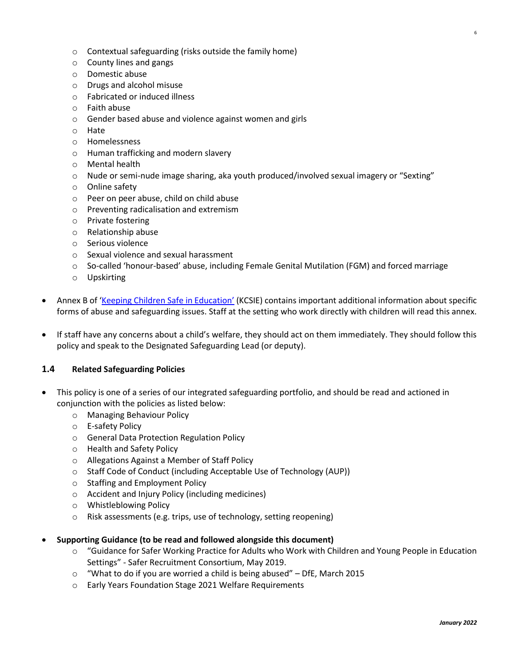- o Contextual safeguarding (risks outside the family home)
- o County lines and gangs
- o Domestic abuse
- o Drugs and alcohol misuse
- o Fabricated or induced illness
- o Faith abuse
- o Gender based abuse and violence against women and girls
- o Hate
- o Homelessness
- o Human trafficking and modern slavery
- o Mental health
- o Nude or semi-nude image sharing, aka youth produced/involved sexual imagery or "Sexting"
- o Online safety
- o Peer on peer abuse, child on child abuse
- o Preventing radicalisation and extremism
- o Private fostering
- o Relationship abuse
- o Serious violence
- o Sexual violence and sexual harassment
- $\circ$  So-called 'honour-based' abuse, including Female Genital Mutilation (FGM) and forced marriage
- o Upskirting
- Annex B of ['Keeping Children Safe in Education'](https://www.gov.uk/government/publications/keeping-children-safe-in-education--2) (KCSIE) contains important additional information about specific forms of abuse and safeguarding issues. Staff at the setting who work directly with children will read this annex.
- If staff have any concerns about a child's welfare, they should act on them immediately. They should follow this policy and speak to the Designated Safeguarding Lead (or deputy).

#### **1.4 Related Safeguarding Policies**

- This policy is one of a series of our integrated safeguarding portfolio, and should be read and actioned in conjunction with the policies as listed below:
	- o Managing Behaviour Policy
	- o E-safety Policy
	- o General Data Protection Regulation Policy
	- o Health and Safety Policy
	- o Allegations Against a Member of Staff Policy
	- o Staff Code of Conduct (including Acceptable Use of Technology (AUP))
	- o Staffing and Employment Policy
	- o Accident and Injury Policy (including medicines)
	- o Whistleblowing Policy
	- o Risk assessments (e.g. trips, use of technology, setting reopening)
- **Supporting Guidance (to be read and followed alongside this document)**
	- o "Guidance for Safer Working Practice for Adults who Work with Children and Young People in Education Settings" - Safer Recruitment Consortium, May 2019.
	- o "What to do if you are worried a child is being abused" DfE, March 2015
	- o Early Years Foundation Stage 2021 Welfare Requirements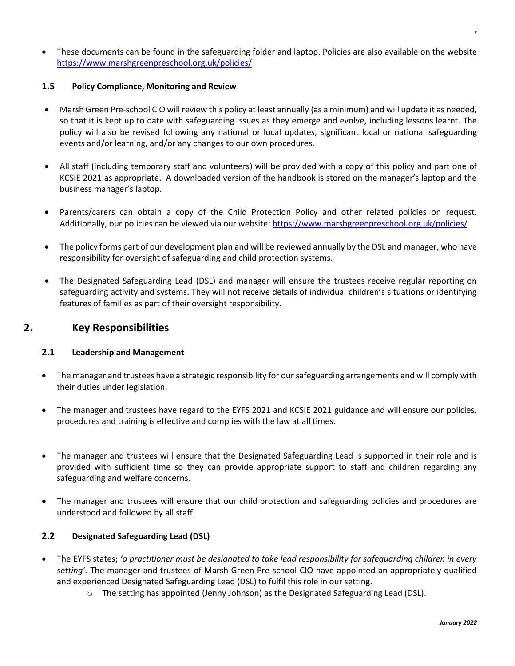• These documents can be found in the safeguarding folder and laptop. Policies are also available on the website <https://www.marshgreenpreschool.org.uk/policies/>

#### **1.5 Policy Compliance, Monitoring and Review**

- Marsh Green Pre-school CIO will review this policy at least annually (as a minimum) and will update it as needed, so that it is kept up to date with safeguarding issues as they emerge and evolve, including lessons learnt. The policy will also be revised following any national or local updates, significant local or national safeguarding events and/or learning, and/or any changes to our own procedures.
- All staff (including temporary staff and volunteers) will be provided with a copy of this policy and part one of KCSIE 2021 as appropriate. A downloaded version of the handbook is stored on the manager's laptop and the business manager's laptop.
- Parents/carers can obtain a copy of the Child Protection Policy and other related policies on request. Additionally, our policies can be viewed via our website: <https://www.marshgreenpreschool.org.uk/policies/>
- The policy forms part of our development plan and will be reviewed annually by the DSL and manager, who have responsibility for oversight of safeguarding and child protection systems.
- The Designated Safeguarding Lead (DSL) and manager will ensure the trustees receive regular reporting on safeguarding activity and systems. They will not receive details of individual children's situations or identifying features of families as part of their oversight responsibility.

# **2. Key Responsibilities**

#### **2.1 Leadership and Management**

- The manager and trustees have a strategic responsibility for our safeguarding arrangements and will comply with their duties under legislation.
- The manager and trustees have regard to the EYFS 2021 and KCSIE 2021 guidance and will ensure our policies, procedures and training is effective and complies with the law at all times.
- The manager and trustees will ensure that the Designated Safeguarding Lead is supported in their role and is provided with sufficient time so they can provide appropriate support to staff and children regarding any safeguarding and welfare concerns.
- The manager and trustees will ensure that our child protection and safeguarding policies and procedures are understood and followed by all staff.

# **2.2 Designated Safeguarding Lead (DSL)**

- The EYFS states; *'a practitioner must be designated to take lead responsibility for safeguarding children in every setting'.* The manager and trustees of Marsh Green Pre-school CIO have appointed an appropriately qualified and experienced Designated Safeguarding Lead (DSL) to fulfil this role in our setting.
	- $\circ$  The setting has appointed (Jenny Johnson) as the Designated Safeguarding Lead (DSL).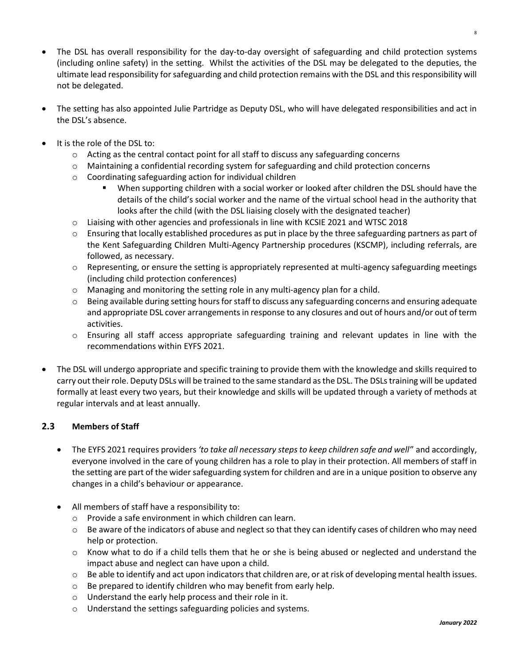- The DSL has overall responsibility for the day-to-day oversight of safeguarding and child protection systems (including online safety) in the setting. Whilst the activities of the DSL may be delegated to the deputies, the ultimate lead responsibility for safeguarding and child protection remains with the DSL and this responsibility will not be delegated.
- The setting has also appointed Julie Partridge as Deputy DSL, who will have delegated responsibilities and act in the DSL's absence.
- It is the role of the DSL to:
	- $\circ$  Acting as the central contact point for all staff to discuss any safeguarding concerns
	- $\circ$  Maintaining a confidential recording system for safeguarding and child protection concerns
	- o Coordinating safeguarding action for individual children
		- When supporting children with a social worker or looked after children the DSL should have the details of the child's social worker and the name of the virtual school head in the authority that looks after the child (with the DSL liaising closely with the designated teacher)
	- $\circ$  Liaising with other agencies and professionals in line with KCSIE 2021 and WTSC 2018
	- $\circ$  Ensuring that locally established procedures as put in place by the three safeguarding partners as part of the Kent Safeguarding Children Multi-Agency Partnership procedures (KSCMP), including referrals, are followed, as necessary.
	- $\circ$  Representing, or ensure the setting is appropriately represented at multi-agency safeguarding meetings (including child protection conferences)
	- $\circ$  Managing and monitoring the setting role in any multi-agency plan for a child.
	- $\circ$  Being available during setting hours for staff to discuss any safeguarding concerns and ensuring adequate and appropriate DSL cover arrangements in response to any closures and out of hours and/or out of term activities.
	- o Ensuring all staff access appropriate safeguarding training and relevant updates in line with the recommendations within EYFS 2021.
- The DSL will undergo appropriate and specific training to provide them with the knowledge and skills required to carry out their role. Deputy DSLs will be trained to the same standard as the DSL. The DSLs training will be updated formally at least every two years, but their knowledge and skills will be updated through a variety of methods at regular intervals and at least annually.

# **2.3 Members of Staff**

- The EYFS 2021 requires providers *'to take all necessary steps to keep children safe and well'*' and accordingly, everyone involved in the care of young children has a role to play in their protection. All members of staff in the setting are part of the wider safeguarding system for children and are in a unique position to observe any changes in a child's behaviour or appearance.
- All members of staff have a responsibility to:
	- o Provide a safe environment in which children can learn.
	- $\circ$  Be aware of the indicators of abuse and neglect so that they can identify cases of children who may need help or protection.
	- $\circ$  Know what to do if a child tells them that he or she is being abused or neglected and understand the impact abuse and neglect can have upon a child.
	- o Be able to identify and act upon indicators that children are, or at risk of developing mental health issues.
	- $\circ$  Be prepared to identify children who may benefit from early help.
	- o Understand the early help process and their role in it.
	- o Understand the settings safeguarding policies and systems.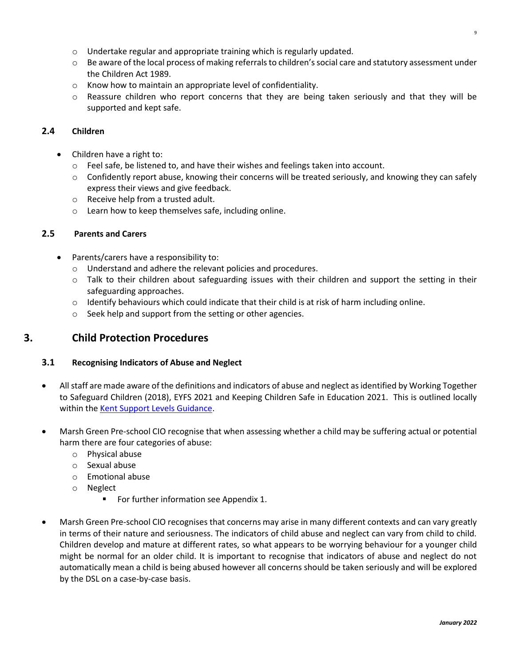- o Undertake regular and appropriate training which is regularly updated.
- $\circ$  Be aware of the local process of making referrals to children's social care and statutory assessment under the Children Act 1989.
- o Know how to maintain an appropriate level of confidentiality.
- o Reassure children who report concerns that they are being taken seriously and that they will be supported and kept safe.

#### **2.4 Children**

- Children have a right to:
	- o Feel safe, be listened to, and have their wishes and feelings taken into account.
	- $\circ$  Confidently report abuse, knowing their concerns will be treated seriously, and knowing they can safely express their views and give feedback.
	- o Receive help from a trusted adult.
	- o Learn how to keep themselves safe, including online.

#### **2.5 Parents and Carers**

- Parents/carers have a responsibility to:
	- o Understand and adhere the relevant policies and procedures.
	- $\circ$  Talk to their children about safeguarding issues with their children and support the setting in their safeguarding approaches.
	- $\circ$  Identify behaviours which could indicate that their child is at risk of harm including online.
	- o Seek help and support from the setting or other agencies.

# **3. Child Protection Procedures**

#### **3.1 Recognising Indicators of Abuse and Neglect**

- All staff are made aware of the definitions and indicators of abuse and neglect as identified by Working Together to Safeguard Children (2018), EYFS 2021 and Keeping Children Safe in Education 2021. This is outlined locally within the [Kent Support Levels Guidance.](https://www.kscmp.org.uk/guidance/kent-support-levels-guidance)
- Marsh Green Pre-school CIO recognise that when assessing whether a child may be suffering actual or potential harm there are four categories of abuse:
	- o Physical abuse
	- o Sexual abuse
	- o Emotional abuse
	- o Neglect
		- For further information see Appendix 1.
- Marsh Green Pre-school CIO recognises that concerns may arise in many different contexts and can vary greatly in terms of their nature and seriousness. The indicators of child abuse and neglect can vary from child to child. Children develop and mature at different rates, so what appears to be worrying behaviour for a younger child might be normal for an older child. It is important to recognise that indicators of abuse and neglect do not automatically mean a child is being abused however all concerns should be taken seriously and will be explored by the DSL on a case-by-case basis.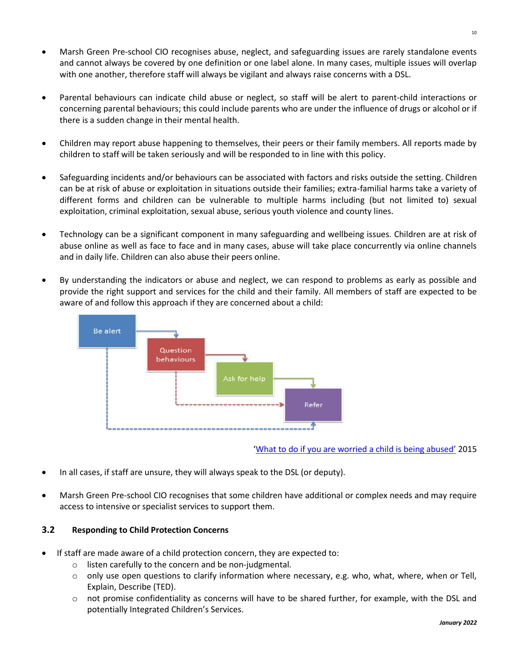- Marsh Green Pre-school CIO recognises abuse, neglect, and safeguarding issues are rarely standalone events and cannot always be covered by one definition or one label alone. In many cases, multiple issues will overlap with one another, therefore staff will always be vigilant and always raise concerns with a DSL.
- Parental behaviours can indicate child abuse or neglect, so staff will be alert to parent-child interactions or concerning parental behaviours; this could include parents who are under the influence of drugs or alcohol or if there is a sudden change in their mental health.
- Children may report abuse happening to themselves, their peers or their family members. All reports made by children to staff will be taken seriously and will be responded to in line with this policy.
- Safeguarding incidents and/or behaviours can be associated with factors and risks outside the setting. Children can be at risk of abuse or exploitation in situations outside their families; extra-familial harms take a variety of different forms and children can be vulnerable to multiple harms including (but not limited to) sexual exploitation, criminal exploitation, sexual abuse, serious youth violence and county lines.
- Technology can be a significant component in many safeguarding and wellbeing issues. Children are at risk of abuse online as well as face to face and in many cases, abuse will take place concurrently via online channels and in daily life. Children can also abuse their peers online.
- By understanding the indicators or abuse and neglect, we can respond to problems as early as possible and provide the right support and services for the child and their family. All members of staff are expected to be aware of and follow this approach if they are concerned about a child:



['What to do if you are worried a child is being abused'](https://www.gov.uk/government/publications/what-to-do-if-youre-worried-a-child-is-being-abused--2) 2015

- In all cases, if staff are unsure, they will always speak to the DSL (or deputy).
- Marsh Green Pre-school CIO recognises that some children have additional or complex needs and may require access to intensive or specialist services to support them.

#### **3.2 Responding to Child Protection Concerns**

- If staff are made aware of a child protection concern, they are expected to:
	- o listen carefully to the concern and be non-judgmental.
	- $\circ$  only use open questions to clarify information where necessary, e.g. who, what, where, when or Tell, Explain, Describe (TED).
	- $\circ$  not promise confidentiality as concerns will have to be shared further, for example, with the DSL and potentially Integrated Children's Services.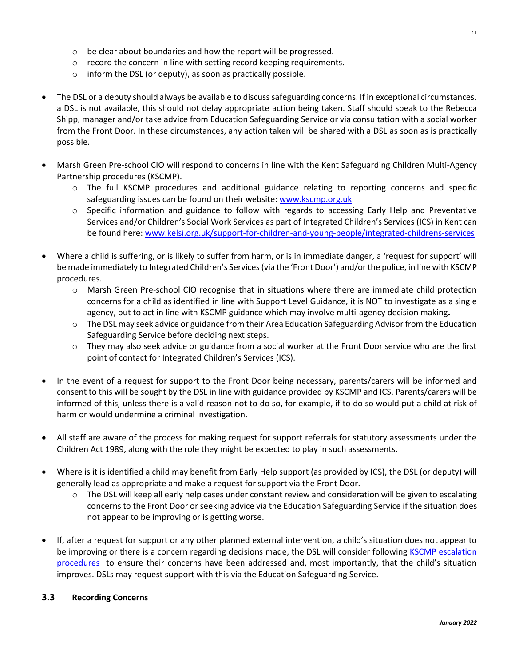- o be clear about boundaries and how the report will be progressed.
- o record the concern in line with setting record keeping requirements.
- o inform the DSL (or deputy), as soon as practically possible.
- The DSL or a deputy should always be available to discuss safeguarding concerns. If in exceptional circumstances, a DSL is not available, this should not delay appropriate action being taken. Staff should speak to the Rebecca Shipp, manager and/or take advice from Education Safeguarding Service or via consultation with a social worker from the Front Door. In these circumstances, any action taken will be shared with a DSL as soon as is practically possible.
- Marsh Green Pre-school CIO will respond to concerns in line with the Kent Safeguarding Children Multi-Agency Partnership procedures (KSCMP).
	- o The full KSCMP procedures and additional guidance relating to reporting concerns and specific safeguarding issues can be found on their website: [www.kscmp.org.uk](http://www.kscmp.org.uk/)
	- $\circ$  Specific information and guidance to follow with regards to accessing Early Help and Preventative Services and/or Children's Social Work Services as part of Integrated Children's Services (ICS) in Kent can be found here: [www.kelsi.org.uk/support-for-children-and-young-people/integrated-childrens-services](http://www.kelsi.org.uk/support-for-children-and-young-people/integrated-childrens-services)
- Where a child is suffering, or is likely to suffer from harm, or is in immediate danger, a 'request for support' will be made immediately to Integrated Children's Services (via the 'Front Door') and/or the police, in line with KSCMP procedures.
	- o Marsh Green Pre-school CIO recognise that in situations where there are immediate child protection concerns for a child as identified in line with Support Level Guidance, it is NOT to investigate as a single agency, but to act in line with KSCMP guidance which may involve multi-agency decision making**.**
	- o The DSL may seek advice or guidance from their Area Education Safeguarding Advisor from the Education Safeguarding Service before deciding next steps.
	- o They may also seek advice or guidance from a social worker at the Front Door service who are the first point of contact for Integrated Children's Services (ICS).
- In the event of a request for support to the Front Door being necessary, parents/carers will be informed and consent to this will be sought by the DSL in line with guidance provided by KSCMP and ICS. Parents/carers will be informed of this, unless there is a valid reason not to do so, for example, if to do so would put a child at risk of harm or would undermine a criminal investigation.
- All staff are aware of the process for making request for support referrals for statutory assessments under the Children Act 1989, along with the role they might be expected to play in such assessments.
- Where is it is identified a child may benefit from Early Help support (as provided by ICS), the DSL (or deputy) will generally lead as appropriate and make a request for support via the Front Door.
	- o The DSL will keep all early help cases under constant review and consideration will be given to escalating concernsto the Front Door or seeking advice via the Education Safeguarding Service if the situation does not appear to be improving or is getting worse.
- If, after a request for support or any other planned external intervention, a child's situation does not appear to be improving or there is a concern regarding decisions made, the DSL will consider following [KSCMP escalation](https://www.proceduresonline.com/kentandmedway/chapters/p_resolution.html)  [procedures](https://www.proceduresonline.com/kentandmedway/chapters/p_resolution.html) to ensure their concerns have been addressed and, most importantly, that the child's situation improves. DSLs may request support with this via the Education Safeguarding Service.

#### **3.3 Recording Concerns**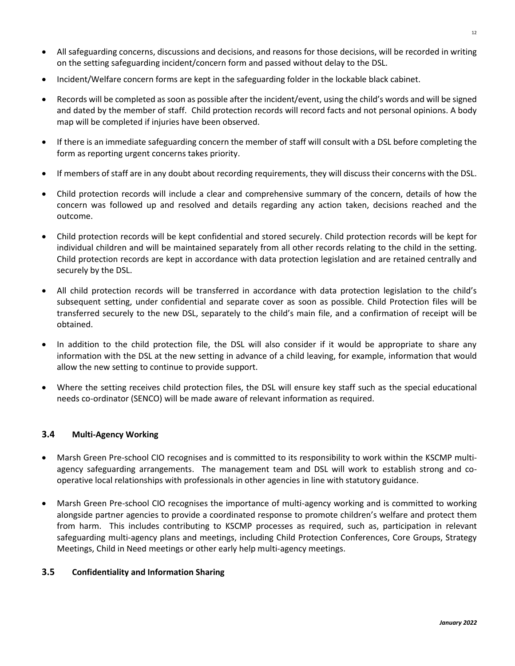- All safeguarding concerns, discussions and decisions, and reasons for those decisions, will be recorded in writing on the setting safeguarding incident/concern form and passed without delay to the DSL.
- Incident/Welfare concern forms are kept in the safeguarding folder in the lockable black cabinet.
- Records will be completed as soon as possible after the incident/event, using the child's words and will be signed and dated by the member of staff. Child protection records will record facts and not personal opinions. A body map will be completed if injuries have been observed.
- If there is an immediate safeguarding concern the member of staff will consult with a DSL before completing the form as reporting urgent concerns takes priority.
- If members of staff are in any doubt about recording requirements, they will discuss their concerns with the DSL.
- Child protection records will include a clear and comprehensive summary of the concern, details of how the concern was followed up and resolved and details regarding any action taken, decisions reached and the outcome.
- Child protection records will be kept confidential and stored securely. Child protection records will be kept for individual children and will be maintained separately from all other records relating to the child in the setting. Child protection records are kept in accordance with data protection legislation and are retained centrally and securely by the DSL.
- All child protection records will be transferred in accordance with data protection legislation to the child's subsequent setting, under confidential and separate cover as soon as possible. Child Protection files will be transferred securely to the new DSL, separately to the child's main file, and a confirmation of receipt will be obtained.
- In addition to the child protection file, the DSL will also consider if it would be appropriate to share any information with the DSL at the new setting in advance of a child leaving, for example, information that would allow the new setting to continue to provide support.
- Where the setting receives child protection files, the DSL will ensure key staff such as the special educational needs co-ordinator (SENCO) will be made aware of relevant information as required.

#### **3.4 Multi-Agency Working**

- Marsh Green Pre-school CIO recognises and is committed to its responsibility to work within the KSCMP multiagency safeguarding arrangements. The management team and DSL will work to establish strong and cooperative local relationships with professionals in other agencies in line with statutory guidance.
- Marsh Green Pre-school CIO recognises the importance of multi-agency working and is committed to working alongside partner agencies to provide a coordinated response to promote children's welfare and protect them from harm. This includes contributing to KSCMP processes as required, such as, participation in relevant safeguarding multi-agency plans and meetings, including Child Protection Conferences, Core Groups, Strategy Meetings, Child in Need meetings or other early help multi-agency meetings.

#### **3.5 Confidentiality and Information Sharing**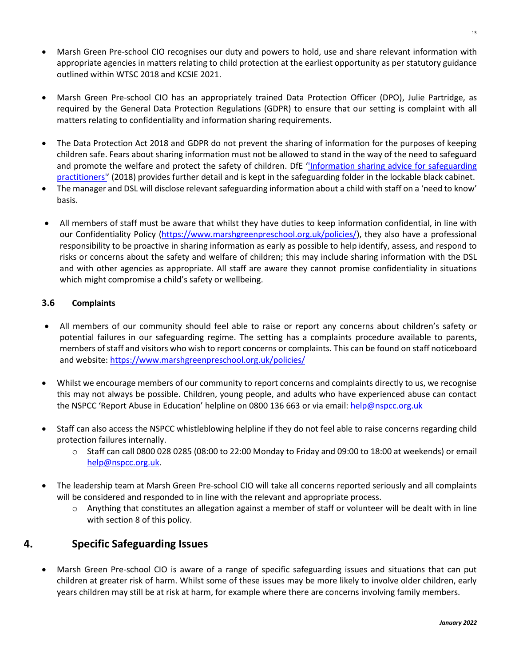- Marsh Green Pre-school CIO recognises our duty and powers to hold, use and share relevant information with appropriate agencies in matters relating to child protection at the earliest opportunity as per statutory guidance outlined within WTSC 2018 and KCSIE 2021.
- Marsh Green Pre-school CIO has an appropriately trained Data Protection Officer (DPO), Julie Partridge, as required by the General Data Protection Regulations (GDPR) to ensure that our setting is complaint with all matters relating to confidentiality and information sharing requirements.
- The Data Protection Act 2018 and GDPR do not prevent the sharing of information for the purposes of keeping children safe. Fears about sharing information must not be allowed to stand in the way of the need to safeguard and promote the welfare and protect the safety of children. DfE "Information sharing advice for safeguarding [practitioners'](https://www.gov.uk/government/publications/safeguarding-practitioners-information-sharing-advice)' (2018) provides further detail and is kept in the safeguarding folder in the lockable black cabinet.
- The manager and DSL will disclose relevant safeguarding information about a child with staff on a 'need to know' basis.
- All members of staff must be aware that whilst they have duties to keep information confidential, in line with our Confidentiality Policy [\(https://www.marshgreenpreschool.org.uk/policies/\)](https://www.marshgreenpreschool.org.uk/policies/), they also have a professional responsibility to be proactive in sharing information as early as possible to help identify, assess, and respond to risks or concerns about the safety and welfare of children; this may include sharing information with the DSL and with other agencies as appropriate. All staff are aware they cannot promise confidentiality in situations which might compromise a child's safety or wellbeing.

# **3.6 Complaints**

- All members of our community should feel able to raise or report any concerns about children's safety or potential failures in our safeguarding regime. The setting has a complaints procedure available to parents, members of staff and visitors who wish to report concerns or complaints. This can be found on staff noticeboard and website:<https://www.marshgreenpreschool.org.uk/policies/>
- Whilst we encourage members of our community to report concerns and complaints directly to us, we recognise this may not always be possible. Children, young people, and adults who have experienced abuse can contact the NSPCC 'Report Abuse in Education' helpline on [0800 136 663](tel:0800%20136%20663) or via email: [help@nspcc.org.uk](mailto:help@nspcc.org.uk)
- Staff can also access the NSPCC whistleblowing helpline if they do not feel able to raise concerns regarding child protection failures internally.
	- o Staff can call 0800 028 0285 (08:00 to 22:00 Monday to Friday and 09:00 to 18:00 at weekends) or email [help@nspcc.org.uk.](mailto:help@nspcc.org.uk)
- The leadership team at Marsh Green Pre-school CIO will take all concerns reported seriously and all complaints will be considered and responded to in line with the relevant and appropriate process.
	- o Anything that constitutes an allegation against a member of staff or volunteer will be dealt with in line with section 8 of this policy.

# **4. Specific Safeguarding Issues**

• Marsh Green Pre-school CIO is aware of a range of specific safeguarding issues and situations that can put children at greater risk of harm. Whilst some of these issues may be more likely to involve older children, early years children may still be at risk at harm, for example where there are concerns involving family members.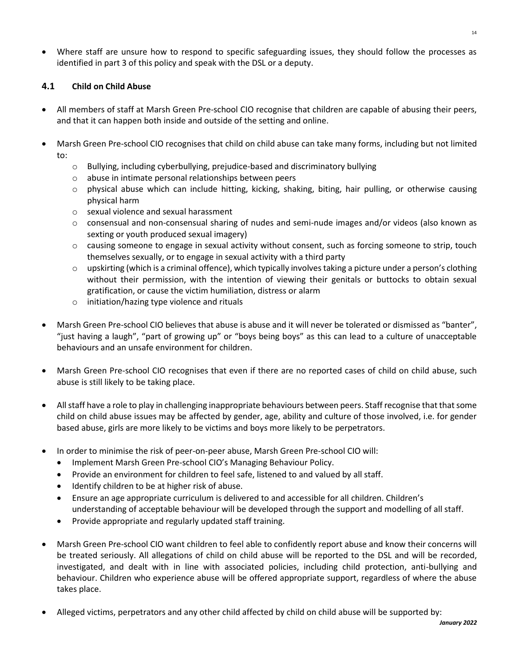• Where staff are unsure how to respond to specific safeguarding issues, they should follow the processes as identified in part 3 of this policy and speak with the DSL or a deputy.

# **4.1 Child on Child Abuse**

- All members of staff at Marsh Green Pre-school CIO recognise that children are capable of abusing their peers, and that it can happen both inside and outside of the setting and online.
- Marsh Green Pre-school CIO recognises that child on child abuse can take many forms, including but not limited to:
	- o Bullying, including cyberbullying, prejudice-based and discriminatory bullying
	- o abuse in intimate personal relationships between peers
	- o physical abuse which can include hitting, kicking, shaking, biting, hair pulling, or otherwise causing physical harm
	- o sexual violence and sexual harassment
	- o consensual and non-consensual sharing of nudes and semi-nude images and/or videos (also known as sexting or youth produced sexual imagery)
	- $\circ$  causing someone to engage in sexual activity without consent, such as forcing someone to strip, touch themselves sexually, or to engage in sexual activity with a third party
	- $\circ$  upskirting (which is a criminal offence), which typically involves taking a picture under a person's clothing without their permission, with the intention of viewing their genitals or buttocks to obtain sexual gratification, or cause the victim humiliation, distress or alarm
	- o initiation/hazing type violence and rituals
- Marsh Green Pre-school CIO believes that abuse is abuse and it will never be tolerated or dismissed as "banter", "just having a laugh", "part of growing up" or "boys being boys" as this can lead to a culture of unacceptable behaviours and an unsafe environment for children.
- Marsh Green Pre-school CIO recognises that even if there are no reported cases of child on child abuse, such abuse is still likely to be taking place.
- All staff have a role to play in challenging inappropriate behaviours between peers. Staff recognise that that some child on child abuse issues may be affected by gender, age, ability and culture of those involved, i.e. for gender based abuse, girls are more likely to be victims and boys more likely to be perpetrators.
- In order to minimise the risk of peer-on-peer abuse, Marsh Green Pre-school CIO will:
	- Implement Marsh Green Pre-school CIO's Managing Behaviour Policy.
	- Provide an environment for children to feel safe, listened to and valued by all staff.
	- Identify children to be at higher risk of abuse.
	- Ensure an age appropriate curriculum is delivered to and accessible for all children. Children's understanding of acceptable behaviour will be developed through the support and modelling of all staff.
	- Provide appropriate and regularly updated staff training.
- Marsh Green Pre-school CIO want children to feel able to confidently report abuse and know their concerns will be treated seriously. All allegations of child on child abuse will be reported to the DSL and will be recorded, investigated, and dealt with in line with associated policies, including child protection, anti-bullying and behaviour. Children who experience abuse will be offered appropriate support, regardless of where the abuse takes place.
- Alleged victims, perpetrators and any other child affected by child on child abuse will be supported by: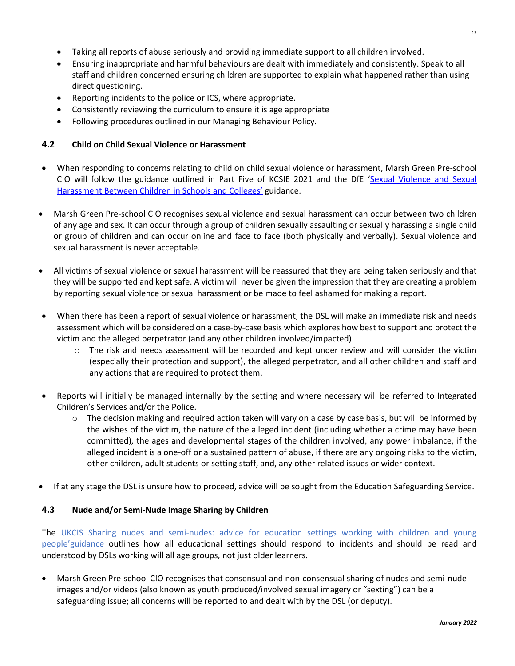- Taking all reports of abuse seriously and providing immediate support to all children involved.
- Ensuring inappropriate and harmful behaviours are dealt with immediately and consistently. Speak to all staff and children concerned ensuring children are supported to explain what happened rather than using direct questioning.
- Reporting incidents to the police or ICS, where appropriate.
- Consistently reviewing the curriculum to ensure it is age appropriate
- Following procedures outlined in our Managing Behaviour Policy.

#### **4.2 Child on Child Sexual Violence or Harassment**

- When responding to concerns relating to child on child sexual violence or harassment, Marsh Green Pre-school CIO will follow the guidance outlined in Part Five of KCSIE 2021 and the DfE '[Sexual Violence and Sexual](https://www.gov.uk/government/publications/sexual-violence-and-sexual-harassment-between-children-in-schools-and-colleges)  Har[assment Between Children in Schools and Colleges'](https://www.gov.uk/government/publications/sexual-violence-and-sexual-harassment-between-children-in-schools-and-colleges) guidance.
- Marsh Green Pre-school CIO recognises sexual violence and sexual harassment can occur between two children of any age and sex. It can occur through a group of children sexually assaulting or sexually harassing a single child or group of children and can occur online and face to face (both physically and verbally). Sexual violence and sexual harassment is never acceptable.
- All victims of sexual violence or sexual harassment will be reassured that they are being taken seriously and that they will be supported and kept safe. A victim will never be given the impression that they are creating a problem by reporting sexual violence or sexual harassment or be made to feel ashamed for making a report.
- When there has been a report of sexual violence or harassment, the DSL will make an immediate risk and needs assessment which will be considered on a case-by-case basis which explores how best to support and protect the victim and the alleged perpetrator (and any other children involved/impacted).
	- o The risk and needs assessment will be recorded and kept under review and will consider the victim (especially their protection and support), the alleged perpetrator, and all other children and staff and any actions that are required to protect them.
- Reports will initially be managed internally by the setting and where necessary will be referred to Integrated Children's Services and/or the Police.
	- $\circ$  The decision making and required action taken will vary on a case by case basis, but will be informed by the wishes of the victim, the nature of the alleged incident (including whether a crime may have been committed), the ages and developmental stages of the children involved, any power imbalance, if the alleged incident is a one-off or a sustained pattern of abuse, if there are any ongoing risks to the victim, other children, adult students or setting staff, and, any other related issues or wider context.
- If at any stage the DSL is unsure how to proceed, advice will be sought from the Education Safeguarding Service.

# **4.3 Nude and/or Semi-Nude Image Sharing by Children**

The UKCIS [Sharing nudes and semi-nudes: advice for education settings working with children and young](https://www.gov.uk/government/publications/sharing-nudes-and-semi-nudes-advice-for-education-settings-working-with-children-and-young-people)  [people](https://www.gov.uk/government/publications/sharing-nudes-and-semi-nudes-advice-for-education-settings-working-with-children-and-young-people)'guidance outlines how all educational settings should respond to incidents and should be read and understood by DSLs working will all age groups, not just older learners.

• Marsh Green Pre-school CIO recognises that consensual and non-consensual sharing of nudes and semi-nude images and/or videos (also known as youth produced/involved sexual imagery or "sexting") can be a safeguarding issue; all concerns will be reported to and dealt with by the DSL (or deputy).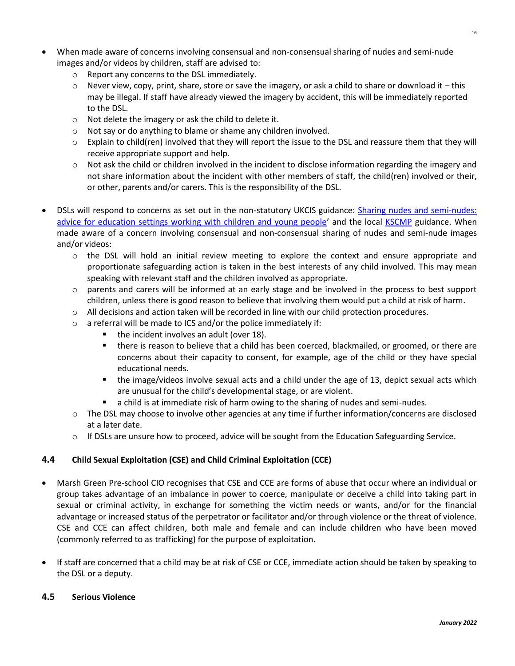- When made aware of concerns involving consensual and non-consensual sharing of nudes and semi-nude images and/or videos by children, staff are advised to:
	- o Report any concerns to the DSL immediately.
	- $\circ$  Never view, copy, print, share, store or save the imagery, or ask a child to share or download it this may be illegal. If staff have already viewed the imagery by accident, this will be immediately reported to the DSL.
	- o Not delete the imagery or ask the child to delete it.
	- o Not say or do anything to blame or shame any children involved.
	- o Explain to child(ren) involved that they will report the issue to the DSL and reassure them that they will receive appropriate support and help.
	- $\circ$  Not ask the child or children involved in the incident to disclose information regarding the imagery and not share information about the incident with other members of staff, the child(ren) involved or their, or other, parents and/or carers. This is the responsibility of the DSL.
- DSLs will respond to concerns as set out in the non-statutory UKCIS guidance: [Sharing nudes and semi-nudes:](https://www.gov.uk/government/publications/sharing-nudes-and-semi-nudes-advice-for-education-settings-working-with-children-and-young-people)  [advice for education settings working with children and young people](https://www.gov.uk/government/publications/sharing-nudes-and-semi-nudes-advice-for-education-settings-working-with-children-and-young-people)' and the local [KSCMP](http://www.kscb.org.uk/guidance/online-safety) guidance. When made aware of a concern involving consensual and non-consensual sharing of nudes and semi-nude images and/or videos:
	- o the DSL will hold an initial review meeting to explore the context and ensure appropriate and proportionate safeguarding action is taken in the best interests of any child involved. This may mean speaking with relevant staff and the children involved as appropriate.
	- o parents and carers will be informed at an early stage and be involved in the process to best support children, unless there is good reason to believe that involving them would put a child at risk of harm.
	- $\circ$  All decisions and action taken will be recorded in line with our child protection procedures.
	- o a referral will be made to ICS and/or the police immediately if:
		- the incident involves an adult (over 18).
		- there is reason to believe that a child has been coerced, blackmailed, or groomed, or there are concerns about their capacity to consent, for example, age of the child or they have special educational needs.
		- the image/videos involve sexual acts and a child under the age of 13, depict sexual acts which are unusual for the child's developmental stage, or are violent.
		- a child is at immediate risk of harm owing to the sharing of nudes and semi-nudes.
	- o The DSL may choose to involve other agencies at any time if further information/concerns are disclosed at a later date.
	- $\circ$  If DSLs are unsure how to proceed, advice will be sought from the Education Safeguarding Service.

#### **4.4 Child Sexual Exploitation (CSE) and Child Criminal Exploitation (CCE)**

- Marsh Green Pre-school CIO recognises that CSE and CCE are forms of abuse that occur where an individual or group takes advantage of an imbalance in power to coerce, manipulate or deceive a child into taking part in sexual or criminal activity, in exchange for something the victim needs or wants, and/or for the financial advantage or increased status of the perpetrator or facilitator and/or through violence or the threat of violence. CSE and CCE can affect children, both male and female and can include children who have been moved (commonly referred to as trafficking) for the purpose of exploitation.
- If staff are concerned that a child may be at risk of CSE or CCE, immediate action should be taken by speaking to the DSL or a deputy.

#### **4.5 Serious Violence**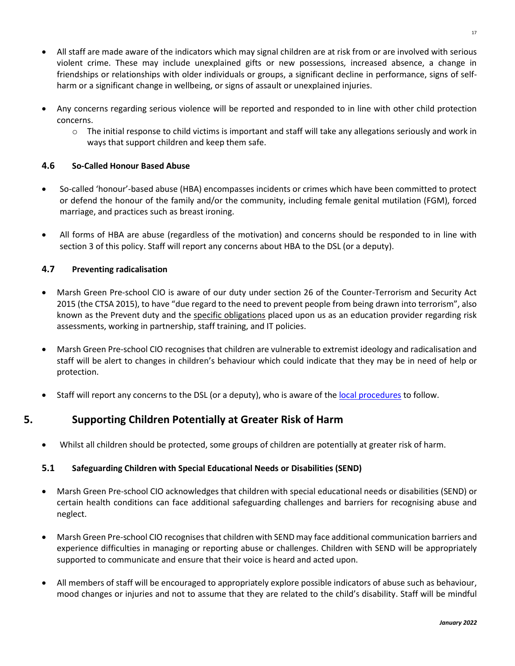- All staff are made aware of the indicators which may signal children are at risk from or are involved with serious violent crime. These may include unexplained gifts or new possessions, increased absence, a change in friendships or relationships with older individuals or groups, a significant decline in performance, signs of selfharm or a significant change in wellbeing, or signs of assault or unexplained injuries.
- Any concerns regarding serious violence will be reported and responded to in line with other child protection concerns.
	- o The initial response to child victims is important and staff will take any allegations seriously and work in ways that support children and keep them safe.

# **4.6 So-Called Honour Based Abuse**

- So-called 'honour'-based abuse (HBA) encompasses incidents or crimes which have been committed to protect or defend the honour of the family and/or the community, including female genital mutilation (FGM), forced marriage, and practices such as breast ironing.
- All forms of HBA are abuse (regardless of the motivation) and concerns should be responded to in line with section 3 of this policy. Staff will report any concerns about HBA to the DSL (or a deputy).

# **4.7 Preventing radicalisation**

- Marsh Green Pre-school CIO is aware of our duty under section 26 of the Counter-Terrorism and Security Act 2015 (the CTSA 2015), to have "due regard to the need to prevent people from being drawn into terrorism", also known as the Prevent duty and the [specific obligations](https://www.gov.uk/government/publications/prevent-duty-guidance/prevent-duty-guidance-for-further-education-institutions-in-england-and-wales) placed upon us as an education provider regarding risk assessments, working in partnership, staff training, and IT policies.
- Marsh Green Pre-school CIO recognises that children are vulnerable to extremist ideology and radicalisation and staff will be alert to changes in children's behaviour which could indicate that they may be in need of help or protection.
- Staff will report any concerns to the DSL (or a deputy), who is aware of the [local procedures](https://www.kelsi.org.uk/child-protection-and-safeguarding/prevent-within-schools) to follow.

# **5. Supporting Children Potentially at Greater Risk of Harm**

• Whilst all children should be protected, some groups of children are potentially at greater risk of harm.

#### **5.1 Safeguarding Children with Special Educational Needs or Disabilities (SEND)**

- Marsh Green Pre-school CIO acknowledges that children with special educational needs or disabilities (SEND) or certain health conditions can face additional safeguarding challenges and barriers for recognising abuse and neglect.
- Marsh Green Pre-school CIO recognisesthat children with SEND may face additional communication barriers and experience difficulties in managing or reporting abuse or challenges. Children with SEND will be appropriately supported to communicate and ensure that their voice is heard and acted upon.
- All members of staff will be encouraged to appropriately explore possible indicators of abuse such as behaviour, mood changes or injuries and not to assume that they are related to the child's disability. Staff will be mindful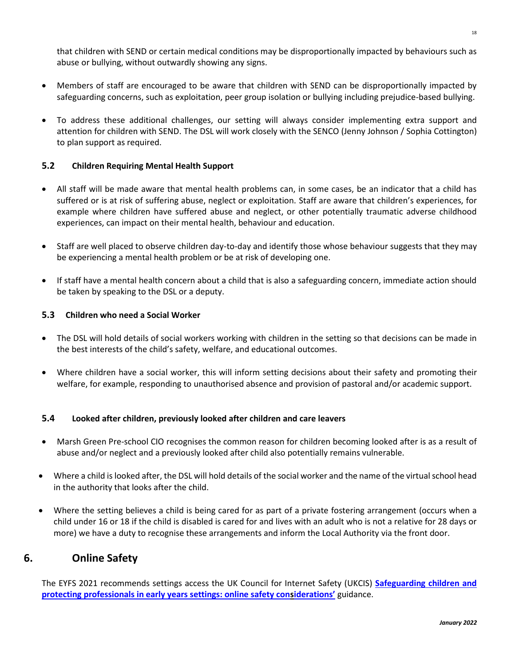that children with SEND or certain medical conditions may be disproportionally impacted by behaviours such as abuse or bullying, without outwardly showing any signs.

- Members of staff are encouraged to be aware that children with SEND can be disproportionally impacted by safeguarding concerns, such as exploitation, peer group isolation or bullying including prejudice-based bullying.
- To address these additional challenges, our setting will always consider implementing extra support and attention for children with SEND. The DSL will work closely with the SENCO (Jenny Johnson / Sophia Cottington) to plan support as required.

# **5.2 Children Requiring Mental Health Support**

- All staff will be made aware that mental health problems can, in some cases, be an indicator that a child has suffered or is at risk of suffering abuse, neglect or exploitation. Staff are aware that children's experiences, for example where children have suffered abuse and neglect, or other potentially traumatic adverse childhood experiences, can impact on their mental health, behaviour and education.
- Staff are well placed to observe children day-to-day and identify those whose behaviour suggests that they may be experiencing a mental health problem or be at risk of developing one.
- If staff have a mental health concern about a child that is also a safeguarding concern, immediate action should be taken by speaking to the DSL or a deputy.

# **5.3 Children who need a Social Worker**

- The DSL will hold details of social workers working with children in the setting so that decisions can be made in the best interests of the child's safety, welfare, and educational outcomes.
- Where children have a social worker, this will inform setting decisions about their safety and promoting their welfare, for example, responding to unauthorised absence and provision of pastoral and/or academic support.

#### **5.4 Looked after children, previously looked after children and care leavers**

- Marsh Green Pre-school CIO recognises the common reason for children becoming looked after is as a result of abuse and/or neglect and a previously looked after child also potentially remains vulnerable.
- Where a child is looked after, the DSL will hold details of the social worker and the name of the virtual school head in the authority that looks after the child.
- Where the setting believes a child is being cared for as part of a private fostering arrangement (occurs when a child under 16 or 18 if the child is disabled is cared for and lives with an adult who is not a relative for 28 days or more) we have a duty to recognise these arrangements and inform the Local Authority via the front door.

# **6. Online Safety**

The EYFS 2021 recommends settings access the UK Council for Internet Safety (UKCIS) **[Safeguarding children and](https://www.gov.uk/government/publications/safeguarding-children-and-protecting-professionals-in-early-years-settings-online-safety-considerations)  [protecting professionals in early years settings: online safety consi](https://www.gov.uk/government/publications/safeguarding-children-and-protecting-professionals-in-early-years-settings-online-safety-considerations)derations'** guidance.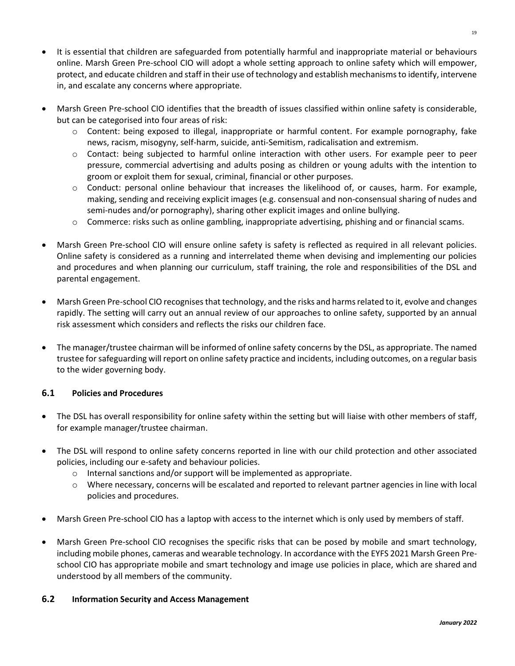- It is essential that children are safeguarded from potentially harmful and inappropriate material or behaviours online. Marsh Green Pre-school CIO will adopt a whole setting approach to online safety which will empower, protect, and educate children and staff in their use of technology and establish mechanisms to identify, intervene in, and escalate any concerns where appropriate.
- Marsh Green Pre-school CIO identifies that the breadth of issues classified within online safety is considerable, but can be categorised into four areas of risk:
	- o Content: being exposed to illegal, inappropriate or harmful content. For example pornography, fake news, racism, misogyny, self-harm, suicide, anti-Semitism, radicalisation and extremism.
	- $\circ$  Contact: being subjected to harmful online interaction with other users. For example peer to peer pressure, commercial advertising and adults posing as children or young adults with the intention to groom or exploit them for sexual, criminal, financial or other purposes.
	- $\circ$  Conduct: personal online behaviour that increases the likelihood of, or causes, harm. For example, making, sending and receiving explicit images (e.g. consensual and non-consensual sharing of nudes and semi-nudes and/or pornography), sharing other explicit images and online bullying.
	- $\circ$  Commerce: risks such as online gambling, inappropriate advertising, phishing and or financial scams.
- Marsh Green Pre-school CIO will ensure online safety is safety is reflected as required in all relevant policies. Online safety is considered as a running and interrelated theme when devising and implementing our policies and procedures and when planning our curriculum, staff training, the role and responsibilities of the DSL and parental engagement.
- Marsh Green Pre-school CIO recognisesthat technology, and the risks and harms related to it, evolve and changes rapidly. The setting will carry out an annual review of our approaches to online safety, supported by an annual risk assessment which considers and reflects the risks our children face.
- The manager/trustee chairman will be informed of online safety concerns by the DSL, as appropriate. The named trustee for safeguarding will report on online safety practice and incidents, including outcomes, on a regular basis to the wider governing body.

# **6.1 Policies and Procedures**

- The DSL has overall responsibility for online safety within the setting but will liaise with other members of staff, for example manager/trustee chairman.
- The DSL will respond to online safety concerns reported in line with our child protection and other associated policies, including our e-safety and behaviour policies.
	- $\circ$  Internal sanctions and/or support will be implemented as appropriate.
	- o Where necessary, concerns will be escalated and reported to relevant partner agencies in line with local policies and procedures.
- Marsh Green Pre-school CIO has a laptop with access to the internet which is only used by members of staff.
- Marsh Green Pre-school CIO recognises the specific risks that can be posed by mobile and smart technology, including mobile phones, cameras and wearable technology. In accordance with the EYFS 2021 Marsh Green Preschool CIO has appropriate mobile and smart technology and image use policies in place, which are shared and understood by all members of the community.

#### **6.2 Information Security and Access Management**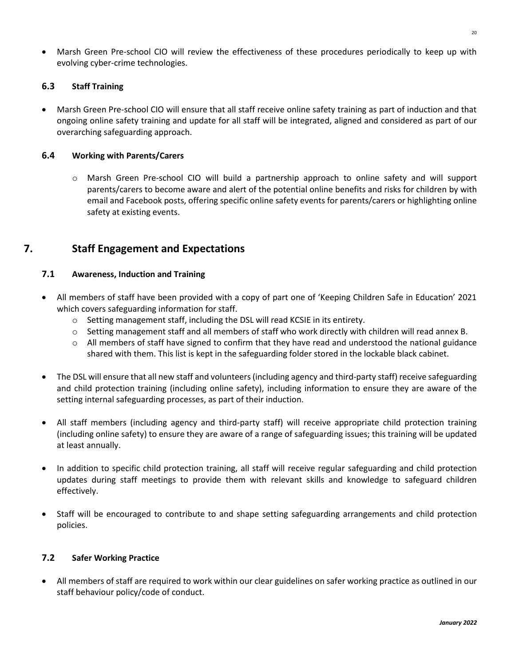• Marsh Green Pre-school CIO will review the effectiveness of these procedures periodically to keep up with evolving cyber-crime technologies.

#### **6.3 Staff Training**

• Marsh Green Pre-school CIO will ensure that all staff receive online safety training as part of induction and that ongoing online safety training and update for all staff will be integrated, aligned and considered as part of our overarching safeguarding approach.

#### **6.4 Working with Parents/Carers**

o Marsh Green Pre-school CIO will build a partnership approach to online safety and will support parents/carers to become aware and alert of the potential online benefits and risks for children by with email and Facebook posts, offering specific online safety events for parents/carers or highlighting online safety at existing events.

# **7. Staff Engagement and Expectations**

#### **7.1 Awareness, Induction and Training**

- All members of staff have been provided with a copy of part one of 'Keeping Children Safe in Education' 2021 which covers safeguarding information for staff.
	- o Setting management staff, including the DSL will read KCSIE in its entirety.
	- o Setting management staff and all members of staff who work directly with children will read annex B.
	- $\circ$  All members of staff have signed to confirm that they have read and understood the national guidance shared with them. This list is kept in the safeguarding folder stored in the lockable black cabinet.
- The DSL will ensure that all new staff and volunteers (including agency and third-party staff) receive safeguarding and child protection training (including online safety), including information to ensure they are aware of the setting internal safeguarding processes, as part of their induction.
- All staff members (including agency and third-party staff) will receive appropriate child protection training (including online safety) to ensure they are aware of a range of safeguarding issues; this training will be updated at least annually.
- In addition to specific child protection training, all staff will receive regular safeguarding and child protection updates during staff meetings to provide them with relevant skills and knowledge to safeguard children effectively.
- Staff will be encouraged to contribute to and shape setting safeguarding arrangements and child protection policies.

#### **7.2 Safer Working Practice**

• All members of staff are required to work within our clear guidelines on safer working practice as outlined in our staff behaviour policy/code of conduct.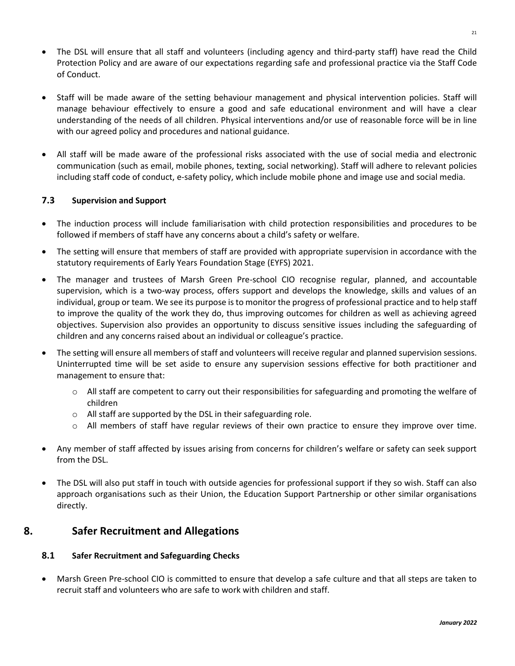- The DSL will ensure that all staff and volunteers (including agency and third-party staff) have read the Child Protection Policy and are aware of our expectations regarding safe and professional practice via the Staff Code of Conduct.
- Staff will be made aware of the setting behaviour management and physical intervention policies. Staff will manage behaviour effectively to ensure a good and safe educational environment and will have a clear understanding of the needs of all children. Physical interventions and/or use of reasonable force will be in line with our agreed policy and procedures and national guidance.
- All staff will be made aware of the professional risks associated with the use of social media and electronic communication (such as email, mobile phones, texting, social networking). Staff will adhere to relevant policies including staff code of conduct, e-safety policy, which include mobile phone and image use and social media.

#### **7.3 Supervision and Support**

- The induction process will include familiarisation with child protection responsibilities and procedures to be followed if members of staff have any concerns about a child's safety or welfare.
- The setting will ensure that members of staff are provided with appropriate supervision in accordance with the statutory requirements of Early Years Foundation Stage (EYFS) 2021.
- The manager and trustees of Marsh Green Pre-school CIO recognise regular, planned, and accountable supervision, which is a two-way process, offers support and develops the knowledge, skills and values of an individual, group or team. We see its purpose is to monitor the progress of professional practice and to help staff to improve the quality of the work they do, thus improving outcomes for children as well as achieving agreed objectives. Supervision also provides an opportunity to discuss sensitive issues including the safeguarding of children and any concerns raised about an individual or colleague's practice.
- The setting will ensure all members of staff and volunteers will receive regular and planned supervision sessions. Uninterrupted time will be set aside to ensure any supervision sessions effective for both practitioner and management to ensure that:
	- $\circ$  All staff are competent to carry out their responsibilities for safeguarding and promoting the welfare of children
	- o All staff are supported by the DSL in their safeguarding role.
	- $\circ$  All members of staff have regular reviews of their own practice to ensure they improve over time.
- Any member of staff affected by issues arising from concerns for children's welfare or safety can seek support from the DSL.
- The DSL will also put staff in touch with outside agencies for professional support if they so wish. Staff can also approach organisations such as their Union, the Education Support Partnership or other similar organisations directly.

# **8. Safer Recruitment and Allegations**

#### **8.1 Safer Recruitment and Safeguarding Checks**

• Marsh Green Pre-school CIO is committed to ensure that develop a safe culture and that all steps are taken to recruit staff and volunteers who are safe to work with children and staff.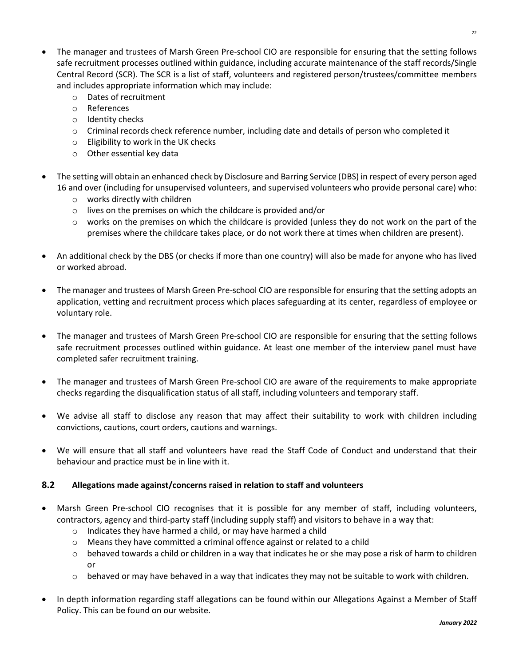- The manager and trustees of Marsh Green Pre-school CIO are responsible for ensuring that the setting follows safe recruitment processes outlined within guidance, including accurate maintenance of the staff records/Single Central Record (SCR). The SCR is a list of staff, volunteers and registered person/trustees/committee members and includes appropriate information which may include:
	- o Dates of recruitment
	- o References
	- o Identity checks
	- o Criminal records check reference number, including date and details of person who completed it
	- o Eligibility to work in the UK checks
	- o Other essential key data
- The setting will obtain an enhanced check by Disclosure and Barring Service (DBS) in respect of every person aged 16 and over (including for unsupervised volunteers, and supervised volunteers who provide personal care) who:
	- o works directly with children
	- o lives on the premises on which the childcare is provided and/or
	- $\circ$  works on the premises on which the childcare is provided (unless they do not work on the part of the premises where the childcare takes place, or do not work there at times when children are present).
- An additional check by the DBS (or checks if more than one country) will also be made for anyone who has lived or worked abroad.
- The manager and trustees of Marsh Green Pre-school CIO are responsible for ensuring that the setting adopts an application, vetting and recruitment process which places safeguarding at its center, regardless of employee or voluntary role.
- The manager and trustees of Marsh Green Pre-school CIO are responsible for ensuring that the setting follows safe recruitment processes outlined within guidance. At least one member of the interview panel must have completed safer recruitment training.
- The manager and trustees of Marsh Green Pre-school CIO are aware of the requirements to make appropriate checks regarding the disqualification status of all staff, including volunteers and temporary staff.
- We advise all staff to disclose any reason that may affect their suitability to work with children including convictions, cautions, court orders, cautions and warnings.
- We will ensure that all staff and volunteers have read the Staff Code of Conduct and understand that their behaviour and practice must be in line with it.

#### **8.2 Allegations made against/concerns raised in relation to staff and volunteers**

- Marsh Green Pre-school CIO recognises that it is possible for any member of staff, including volunteers, contractors, agency and third-party staff (including supply staff) and visitors to behave in a way that:
	- o Indicates they have harmed a child, or may have harmed a child
	- $\circ$  Means they have committed a criminal offence against or related to a child
	- $\circ$  behaved towards a child or children in a way that indicates he or she may pose a risk of harm to children or
	- $\circ$  behaved or may have behaved in a way that indicates they may not be suitable to work with children.
- In depth information regarding staff allegations can be found within our Allegations Against a Member of Staff Policy. This can be found on our website.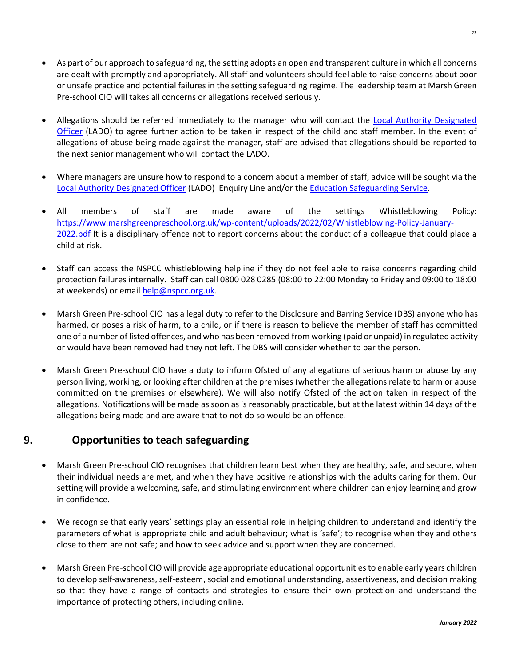- As part of our approach to safeguarding, the setting adopts an open and transparent culture in which all concerns are dealt with promptly and appropriately. All staff and volunteers should feel able to raise concerns about poor or unsafe practice and potential failures in the setting safeguarding regime. The leadership team at Marsh Green Pre-school CIO will takes all concerns or allegations received seriously.
- Allegations should be referred immediately to the manager who will contact the Local Authority Designated [Officer](https://www.kscmp.org.uk/procedures/local-authority-designated-officer-lado) (LADO) to agree further action to be taken in respect of the child and staff member. In the event of allegations of abuse being made against the manager, staff are advised that allegations should be reported to the next senior management who will contact the LADO.
- Where managers are unsure how to respond to a concern about a member of staff, advice will be sought via the [Local Authority Designated Officer](https://www.kscmp.org.uk/procedures/local-authority-designated-officer-lado) (LADO) Enquiry Line and/or the [Education Safeguarding Service.](https://www.theeducationpeople.org/our-expertise/safeguarding/safeguarding-contacts/)
- All members of staff are made aware of the settings Whistleblowing Policy: [https://www.marshgreenpreschool.org.uk/wp-content/uploads/2022/02/Whistleblowing-Policy-January-](https://www.marshgreenpreschool.org.uk/wp-content/uploads/2022/02/Whistleblowing-Policy-January-2022.pdf)[2022.pdf](https://www.marshgreenpreschool.org.uk/wp-content/uploads/2022/02/Whistleblowing-Policy-January-2022.pdf) It is a disciplinary offence not to report concerns about the conduct of a colleague that could place a child at risk.
- Staff can access the NSPCC whistleblowing helpline if they do not feel able to raise concerns regarding child protection failures internally. Staff can call 0800 028 0285 (08:00 to 22:00 Monday to Friday and 09:00 to 18:00 at weekends) or email [help@nspcc.org.uk.](mailto:help@nspcc.org.uk)
- Marsh Green Pre-school CIO has a legal duty to refer to the Disclosure and Barring Service (DBS) anyone who has harmed, or poses a risk of harm, to a child, or if there is reason to believe the member of staff has committed one of a number of listed offences, and who has been removed from working (paid or unpaid) in regulated activity or would have been removed had they not left. The DBS will consider whether to bar the person.
- Marsh Green Pre-school CIO have a duty to inform Ofsted of any allegations of serious harm or abuse by any person living, working, or looking after children at the premises (whether the allegations relate to harm or abuse committed on the premises or elsewhere). We will also notify Ofsted of the action taken in respect of the allegations. Notifications will be made as soon as is reasonably practicable, but at the latest within 14 days of the allegations being made and are aware that to not do so would be an offence.

# **9. Opportunities to teach safeguarding**

- Marsh Green Pre-school CIO recognises that children learn best when they are healthy, safe, and secure, when their individual needs are met, and when they have positive relationships with the adults caring for them. Our setting will provide a welcoming, safe, and stimulating environment where children can enjoy learning and grow in confidence.
- We recognise that early years' settings play an essential role in helping children to understand and identify the parameters of what is appropriate child and adult behaviour; what is 'safe'; to recognise when they and others close to them are not safe; and how to seek advice and support when they are concerned.
- Marsh Green Pre-school CIO will provide age appropriate educational opportunities to enable early years children to develop self-awareness, self-esteem, social and emotional understanding, assertiveness, and decision making so that they have a range of contacts and strategies to ensure their own protection and understand the importance of protecting others, including online.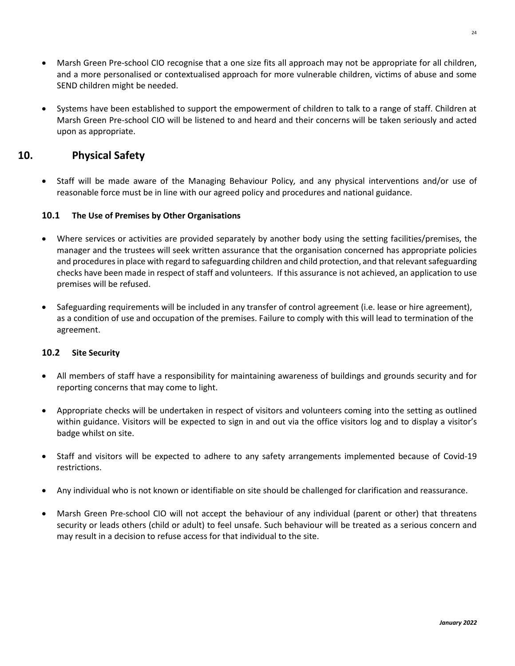- Marsh Green Pre-school CIO recognise that a one size fits all approach may not be appropriate for all children, and a more personalised or contextualised approach for more vulnerable children, victims of abuse and some SEND children might be needed.
- Systems have been established to support the empowerment of children to talk to a range of staff. Children at Marsh Green Pre-school CIO will be listened to and heard and their concerns will be taken seriously and acted upon as appropriate.

# **10. Physical Safety**

• Staff will be made aware of the Managing Behaviour Policy*,* and any physical interventions and/or use of reasonable force must be in line with our agreed policy and procedures and national guidance.

#### **10.1 The Use of Premises by Other Organisations**

- Where services or activities are provided separately by another body using the setting facilities/premises, the manager and the trustees will seek written assurance that the organisation concerned has appropriate policies and procedures in place with regard to safeguarding children and child protection, and that relevant safeguarding checks have been made in respect of staff and volunteers. If this assurance is not achieved, an application to use premises will be refused.
- Safeguarding requirements will be included in any transfer of control agreement (i.e. lease or hire agreement), as a condition of use and occupation of the premises. Failure to comply with this will lead to termination of the agreement.

#### **10.2 Site Security**

- All members of staff have a responsibility for maintaining awareness of buildings and grounds security and for reporting concerns that may come to light.
- Appropriate checks will be undertaken in respect of visitors and volunteers coming into the setting as outlined within guidance. Visitors will be expected to sign in and out via the office visitors log and to display a visitor's badge whilst on site.
- Staff and visitors will be expected to adhere to any safety arrangements implemented because of Covid-19 restrictions.
- Any individual who is not known or identifiable on site should be challenged for clarification and reassurance.
- Marsh Green Pre-school CIO will not accept the behaviour of any individual (parent or other) that threatens security or leads others (child or adult) to feel unsafe. Such behaviour will be treated as a serious concern and may result in a decision to refuse access for that individual to the site.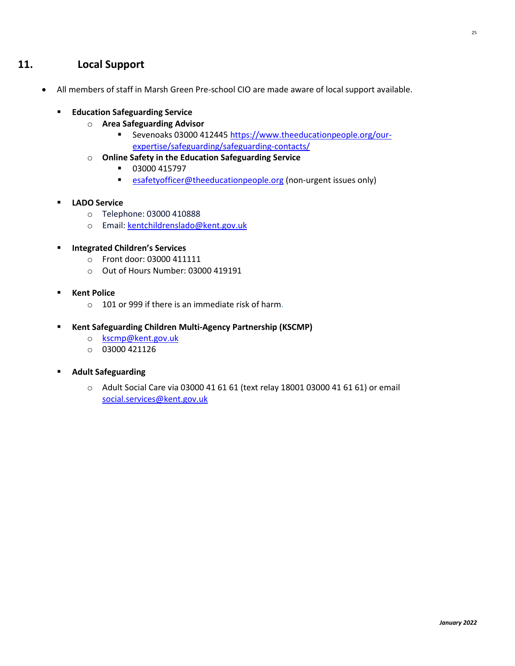- All members of staff in Marsh Green Pre-school CIO are made aware of local support available.
	- **Education Safeguarding Service** 
		- o **Area Safeguarding Advisor**
			- Sevenoaks 03000 412445 [https://www.theeducationpeople.org/our](https://www.theeducationpeople.org/our-expertise/safeguarding/safeguarding-contacts/)[expertise/safeguarding/safeguarding-contacts/](https://www.theeducationpeople.org/our-expertise/safeguarding/safeguarding-contacts/)
		- o **Online Safety in the Education Safeguarding Service**
			- 03000 415797
			- [esafetyofficer@theeducationpeople.org](mailto:esafetyofficer@theeducationpeople.org) (non-urgent issues only)
	- **LADO Service**
		- o Telephone: 03000 410888
		- o Email: [kentchildrenslado@kent.gov.uk](mailto:kentchildrenslado@kent.gov.uk)
	- **Integrated Children's Services** 
		- o Front door: 03000 411111
		- o Out of Hours Number: 03000 419191
	- **Kent Police**
		- $\circ$  101 or 999 if there is an immediate risk of harm.
	- **Kent Safeguarding Children Multi-Agency Partnership (KSCMP)**
		- o [kscmp@kent.gov.uk](mailto:kscmp@kent.gov.uk)
		- o 03000 421126
	- **Adult Safeguarding**
		- o Adult Social Care via 03000 41 61 61 (text relay 18001 03000 41 61 61) or email [social.services@kent.gov.uk](mailto:social.services@kent.gov.uk)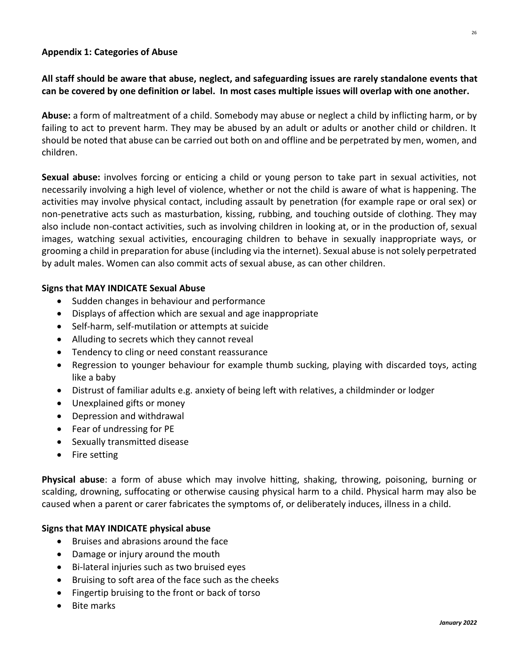# **Appendix 1: Categories of Abuse**

# **All staff should be aware that abuse, neglect, and safeguarding issues are rarely standalone events that can be covered by one definition or label. In most cases multiple issues will overlap with one another.**

**Abuse:** a form of maltreatment of a child. Somebody may abuse or neglect a child by inflicting harm, or by failing to act to prevent harm. They may be abused by an adult or adults or another child or children. It should be noted that abuse can be carried out both on and offline and be perpetrated by men, women, and children.

**Sexual abuse:** involves forcing or enticing a child or young person to take part in sexual activities, not necessarily involving a high level of violence, whether or not the child is aware of what is happening. The activities may involve physical contact, including assault by penetration (for example rape or oral sex) or non-penetrative acts such as masturbation, kissing, rubbing, and touching outside of clothing. They may also include non-contact activities, such as involving children in looking at, or in the production of, sexual images, watching sexual activities, encouraging children to behave in sexually inappropriate ways, or grooming a child in preparation for abuse (including via the internet). Sexual abuse is not solely perpetrated by adult males. Women can also commit acts of sexual abuse, as can other children.

# **Signs that MAY INDICATE Sexual Abuse**

- Sudden changes in behaviour and performance
- Displays of affection which are sexual and age inappropriate
- Self-harm, self-mutilation or attempts at suicide
- Alluding to secrets which they cannot reveal
- Tendency to cling or need constant reassurance
- Regression to younger behaviour for example thumb sucking, playing with discarded toys, acting like a baby
- Distrust of familiar adults e.g. anxiety of being left with relatives, a childminder or lodger
- Unexplained gifts or money
- Depression and withdrawal
- Fear of undressing for PE
- Sexually transmitted disease
- Fire setting

**Physical abuse**: a form of abuse which may involve hitting, shaking, throwing, poisoning, burning or scalding, drowning, suffocating or otherwise causing physical harm to a child. Physical harm may also be caused when a parent or carer fabricates the symptoms of, or deliberately induces, illness in a child.

# **Signs that MAY INDICATE physical abuse**

- Bruises and abrasions around the face
- Damage or injury around the mouth
- Bi-lateral injuries such as two bruised eyes
- Bruising to soft area of the face such as the cheeks
- Fingertip bruising to the front or back of torso
- Bite marks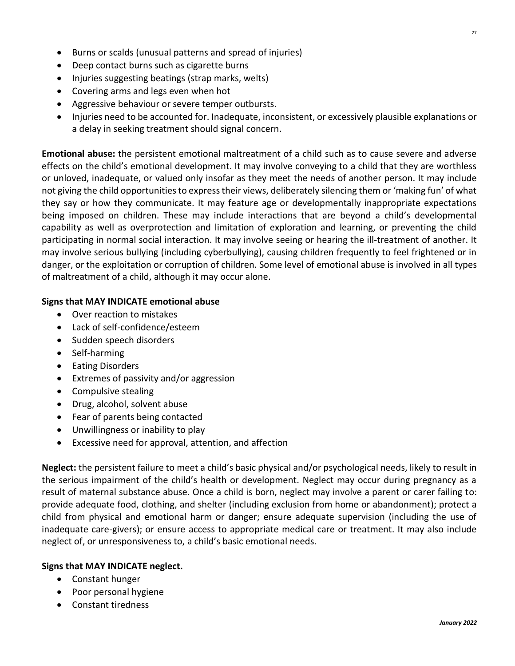- Burns or scalds (unusual patterns and spread of injuries)
- Deep contact burns such as cigarette burns
- Injuries suggesting beatings (strap marks, welts)
- Covering arms and legs even when hot
- Aggressive behaviour or severe temper outbursts.
- Injuries need to be accounted for. Inadequate, inconsistent, or excessively plausible explanations or a delay in seeking treatment should signal concern.

**Emotional abuse:** the persistent emotional maltreatment of a child such as to cause severe and adverse effects on the child's emotional development. It may involve conveying to a child that they are worthless or unloved, inadequate, or valued only insofar as they meet the needs of another person. It may include not giving the child opportunities to express their views, deliberately silencing them or 'making fun' of what they say or how they communicate. It may feature age or developmentally inappropriate expectations being imposed on children. These may include interactions that are beyond a child's developmental capability as well as overprotection and limitation of exploration and learning, or preventing the child participating in normal social interaction. It may involve seeing or hearing the ill-treatment of another. It may involve serious bullying (including cyberbullying), causing children frequently to feel frightened or in danger, or the exploitation or corruption of children. Some level of emotional abuse is involved in all types of maltreatment of a child, although it may occur alone.

# **Signs that MAY INDICATE emotional abuse**

- Over reaction to mistakes
- Lack of self-confidence/esteem
- Sudden speech disorders
- Self-harming
- Eating Disorders
- Extremes of passivity and/or aggression
- Compulsive stealing
- Drug, alcohol, solvent abuse
- Fear of parents being contacted
- Unwillingness or inability to play
- Excessive need for approval, attention, and affection

**Neglect:** the persistent failure to meet a child's basic physical and/or psychological needs, likely to result in the serious impairment of the child's health or development. Neglect may occur during pregnancy as a result of maternal substance abuse. Once a child is born, neglect may involve a parent or carer failing to: provide adequate food, clothing, and shelter (including exclusion from home or abandonment); protect a child from physical and emotional harm or danger; ensure adequate supervision (including the use of inadequate care-givers); or ensure access to appropriate medical care or treatment. It may also include neglect of, or unresponsiveness to, a child's basic emotional needs.

# **Signs that MAY INDICATE neglect.**

- Constant hunger
- Poor personal hygiene
- Constant tiredness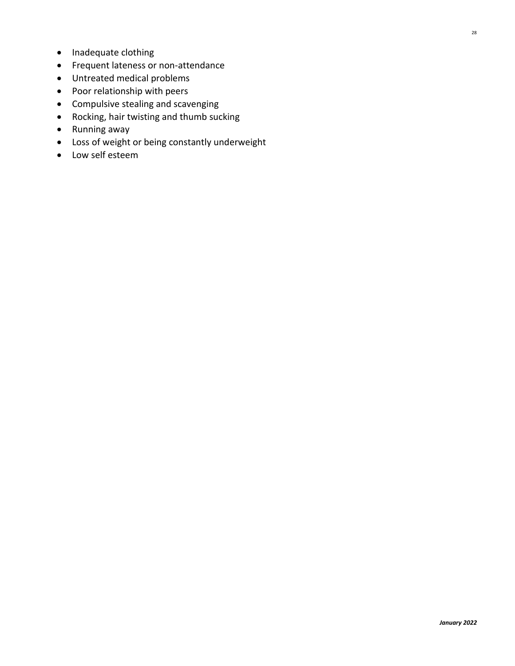- Inadequate clothing
- Frequent lateness or non-attendance
- Untreated medical problems
- Poor relationship with peers
- Compulsive stealing and scavenging
- Rocking, hair twisting and thumb sucking
- Running away
- Loss of weight or being constantly underweight
- Low self esteem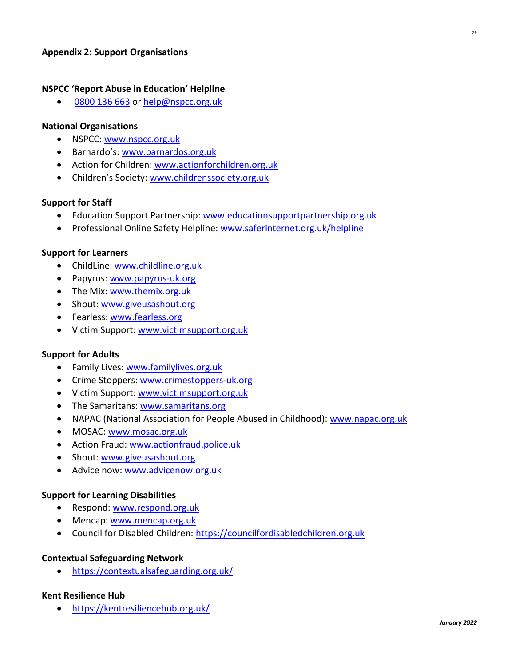# **NSPCC 'Report Abuse in Education' Helpline**

• [0800 136 663](tel:0800%20136%20663) or [help@nspcc.org.uk](mailto:help@nspcc.org.uk)

#### **National Organisations**

- NSPCC: [www.nspcc.org.uk](http://www.nspcc.org.uk/)
- Barnardo's: [www.barnardos.org.uk](http://www.barnardos.org.uk/)
- Action for Children: [www.actionforchildren.org.uk](http://www.actionforchildren.org.uk/)
- Children's Society: [www.childrenssociety.org.uk](http://www.childrenssociety.org.uk/)

#### **Support for Staff**

- Education Support Partnership: [www.educationsupportpartnership.org.uk](http://www.educationsupportpartnership.org.uk/)
- Professional Online Safety Helpline: [www.saferinternet.org.uk/helpline](http://www.saferinternet.org.uk/helpline)

#### **Support for Learners**

- ChildLine: [www.childline.org.uk](http://www.childline.org.uk/)
- Papyrus: [www.papyrus-uk.org](http://www.papyrus-uk.org/)
- The Mix[: www.themix.org.uk](http://www.themix.org.uk/)
- Shout: [www.giveusashout.org](http://www.giveusashout.org/)
- Fearless: [www.fearless.org](http://www.fearless.org/)
- Victim Support: [www.victimsupport.org.uk](http://www.victimsupport.org.uk/)

#### **Support for Adults**

- Family Lives: [www.familylives.org.uk](http://www.familylives.org.uk/)
- Crime Stoppers: [www.crimestoppers-uk.org](http://www.crimestoppers-uk.org/)
- Victim Support: [www.victimsupport.org.uk](http://www.victimsupport.org.uk/)
- The Samaritans[: www.samaritans.org](http://www.samaritans.org/)
- NAPAC (National Association for People Abused in Childhood): www.napac.org.uk
- MOSAC: [www.mosac.org.uk](http://www.mosac.org.uk/)
- Action Fraud: [www.actionfraud.police.uk](http://www.actionfraud.police.uk/)
- Shout: [www.giveusashout.org](http://www.giveusashout.org/)
- Advice now: www.advicenow.org.uk

#### **Support for Learning Disabilities**

- Respond: [www.respond.org.uk](http://www.respond.org.uk/)
- Mencap: [www.mencap.org.uk](http://www.mencap.org.uk/)
- Council for Disabled Children: [https://councilfordisabledchildren.org.uk](https://councilfordisabledchildren.org.uk/)

#### **Contextual Safeguarding Network**

• <https://contextualsafeguarding.org.uk/>

#### **Kent Resilience Hub**

• <https://kentresiliencehub.org.uk/>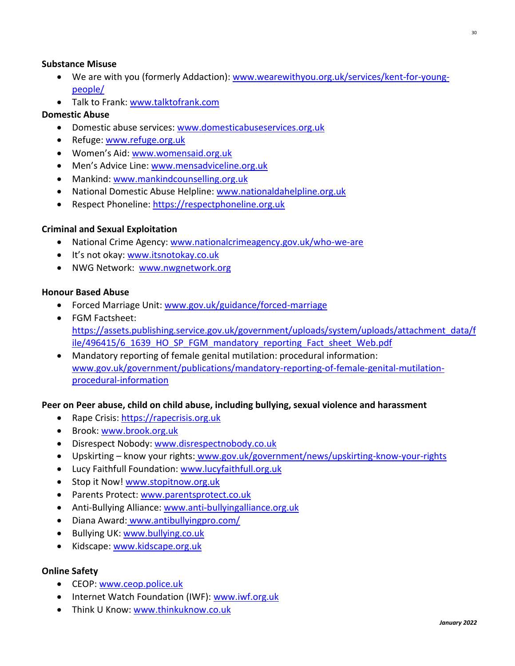# **Substance Misuse**

- We are with you (formerly Addaction): [www.wearewithyou.org.uk/services/kent-for-young](http://www.wearewithyou.org.uk/services/kent-for-young-people/)[people/](http://www.wearewithyou.org.uk/services/kent-for-young-people/)
- Talk to Frank: [www.talktofrank.com](http://www.talktofrank.com/)

# **Domestic Abuse**

- Domestic abuse services[: www.domesticabuseservices.org.uk](http://www.domesticabuseservices.org.uk/)
- Refuge[: www.refuge.org.uk](http://www.refuge.org.uk/)
- Women's Aid: [www.womensaid.org.uk](http://www.womensaid.org.uk/)
- Men's Advice Line: [www.mensadviceline.org.uk](http://www.mensadviceline.org.uk/)
- Mankind[: www.mankindcounselling.org.uk](http://www.mankindcounselling.org.uk/)
- National Domestic Abuse Helpline: [www.nationaldahelpline.org.uk](http://www.nationaldahelpline.org.uk/)
- Respect Phoneline[: https://respectphoneline.org.uk](https://respectphoneline.org.uk/)

# **Criminal and Sexual Exploitation**

- National Crime Agency: [www.nationalcrimeagency.gov.uk/who-we-are](http://www.nationalcrimeagency.gov.uk/who-we-are)
- It's not okay: [www.itsnotokay.co.uk](http://www.itsnotokay.co.uk/)
- NWG Network: [www.nwgnetwork.org](http://www.nwgnetwork.org/)

# **Honour Based Abuse**

- Forced Marriage Unit: [www.gov.uk/guidance/forced-marriage](http://www.gov.uk/guidance/forced-marriage)
- FGM Factsheet: [https://assets.publishing.service.gov.uk/government/uploads/system/uploads/attachment\\_data/f](https://assets.publishing.service.gov.uk/government/uploads/system/uploads/attachment_data/file/496415/6_1639_HO_SP_FGM_mandatory_reporting_Fact_sheet_Web.pdf) [ile/496415/6\\_1639\\_HO\\_SP\\_FGM\\_mandatory\\_reporting\\_Fact\\_sheet\\_Web.pdf](https://assets.publishing.service.gov.uk/government/uploads/system/uploads/attachment_data/file/496415/6_1639_HO_SP_FGM_mandatory_reporting_Fact_sheet_Web.pdf)
- Mandatory reporting of female genital mutilation: procedural information: [www.gov.uk/government/publications/mandatory-reporting-of-female-genital-mutilation](http://www.gov.uk/government/publications/mandatory-reporting-of-female-genital-mutilation-procedural-information)[procedural-information](http://www.gov.uk/government/publications/mandatory-reporting-of-female-genital-mutilation-procedural-information)

# **Peer on Peer abuse, child on child abuse, including bullying, sexual violence and harassment**

- Rape Crisis: [https://rapecrisis.org.uk](https://rapecrisis.org.uk/)
- Brook: [www.brook.org.uk](http://www.brook.org.uk/)
- Disrespect Nobody: [www.disrespectnobody.co.uk](http://www.disrespectnobody.co.uk/)
- Upskirting know your rights: [www.gov.uk/government/news/upskirting-know-your-rights](http://www.gov.uk/government/news/upskirting-know-your-rights)
- Lucy Faithfull Foundation: [www.lucyfaithfull.org.uk](http://www.lucyfaithfull.org.uk/)
- Stop it Now! [www.stopitnow.org.uk](http://www.stopitnow.org.uk/)
- Parents Protect: [www.parentsprotect.co.uk](http://www.parentsprotect.co.uk/)
- Anti-Bullying Alliance: [www.anti-bullyingalliance.org.uk](http://www.anti-bullyingalliance.org.uk/)
- Diana Award: [www.antibullyingpro.com/](http://www.antibullyingpro.com/)
- Bullying UK[: www.bullying.co.uk](http://www.bullying.co.uk/)
- Kidscape[: www.kidscape.org.uk](http://www.kidscape.org.uk/)

# **Online Safety**

- CEOP: [www.ceop.police.uk](http://www.ceop.police.uk/)
- Internet Watch Foundation (IWF)[: www.iwf.org.uk](http://www.iwf.org.uk/)
- Think U Know: [www.thinkuknow.co.uk](http://www.thinkuknow.co.uk/)